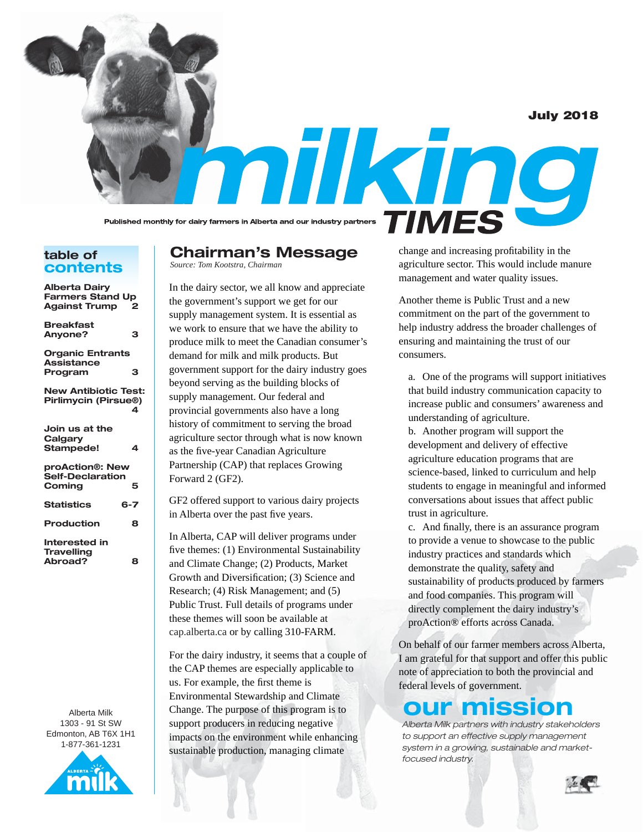July 2018

Published monthly for dairy farmers in Alberta and our industry partners

## **table of contents**

| <b>Alberta Dairy</b><br><b>Farmers Stand Up</b><br><b>Against Trump</b> | 2       |
|-------------------------------------------------------------------------|---------|
| <b>Breakfast</b><br>Anyone?                                             | з       |
| <b>Organic Entrants</b><br><b>Assistance</b><br>Program                 | з       |
| <b>New Antibiotic Test:</b><br>Pirlimycin (Pirsue®)                     | 4       |
| Join us at the<br>Calgary<br>Stampede!                                  | 4       |
| proAction®: New<br>Self-Declaration<br>Coming                           | 5       |
| <b>Statistics</b>                                                       | $6 - 7$ |
| <b>Production</b>                                                       | 8       |
| Interested in<br><b>Travelling</b><br>Abroad?                           | 8       |

Alberta Milk 1303 - 91 St SW Edmonton, AB T6X 1H1 1-877-361-1231



# **Chairman's Message**

*Source: Tom Kootstra, Chairman*

In the dairy sector, we all know and appreciate the government's support we get for our supply management system. It is essential as we work to ensure that we have the ability to produce milk to meet the Canadian consumer's demand for milk and milk products. But government support for the dairy industry goes beyond serving as the building blocks of supply management. Our federal and provincial governments also have a long history of commitment to serving the broad agriculture sector through what is now known as the five-year Canadian Agriculture Partnership (CAP) that replaces Growing Forward 2 (GF2).

GF2 offered support to various dairy projects in Alberta over the past five years.

In Alberta, CAP will deliver programs under five themes: (1) Environmental Sustainability and Climate Change; (2) Products, Market Growth and Diversification; (3) Science and Research; (4) Risk Management; and (5) Public Trust. Full details of programs under these themes will soon be available at cap.alberta.ca or by calling 310-FARM.

For the dairy industry, it seems that a couple of the CAP themes are especially applicable to us. For example, the first theme is Environmental Stewardship and Climate Change. The purpose of this program is to support producers in reducing negative impacts on the environment while enhancing sustainable production, managing climate

change and increasing profitability in the agriculture sector. This would include manure management and water quality issues.

mikino

**TIMES** 

Another theme is Public Trust and a new commitment on the part of the government to help industry address the broader challenges of ensuring and maintaining the trust of our consumers.

a. One of the programs will support initiatives that build industry communication capacity to increase public and consumers' awareness and understanding of agriculture.

b. Another program will support the development and delivery of effective agriculture education programs that are science-based, linked to curriculum and help students to engage in meaningful and informed conversations about issues that affect public trust in agriculture.

c. And finally, there is an assurance program to provide a venue to showcase to the public industry practices and standards which demonstrate the quality, safety and sustainability of products produced by farmers and food companies. This program will directly complement the dairy industry's proAction® efforts across Canada.

On behalf of our farmer members across Alberta, I am grateful for that support and offer this public note of appreciation to both the provincial and federal levels of government.

# **our mission**

*Alberta Milk partners with industry stakeholders to support an effective supply management system in a growing, sustainable and marketfocused industry.*

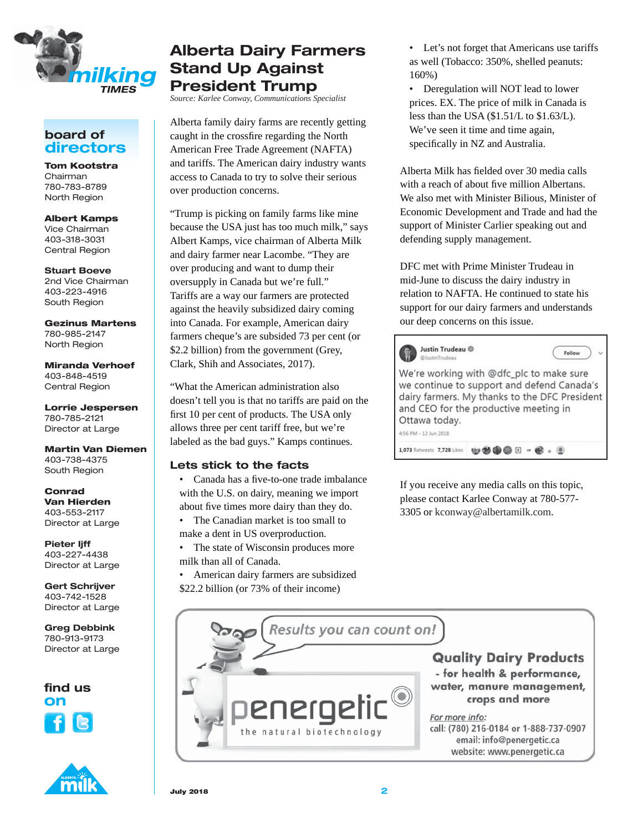

## **board of directors**

**Tom Kootstra**  Chairman 780-783-8789 North Region

**Albert Kamps** Vice Chairman 403-318-3031 Central Region

**Stuart Boeve** 2nd Vice Chairman 403-223-4916 South Region

**Gezinus Martens** 780-985-2147 North Region

**Miranda Verhoef** 403-848-4519 Central Region

**Lorrie Jespersen** 780-785-2121 Director at Large

**Martin Van Diemen** 403-738-4375 South Region

**Conrad Van Hierden** 403-553-2117 Director at Large

**Pieter Ijff** 403-227-4438 Director at Large

**Gert Schrijver** 403-742-1528 Director at Large

**Greg Debbink** 780-913-9173 Director at Large



# **Alberta Dairy Farmers Stand Up Against President Trump**

*Source: Karlee Conway, Communications Specialist* 

Alberta family dairy farms are recently getting caught in the crossfire regarding the North American Free Trade Agreement (NAFTA) and tariffs. The American dairy industry wants access to Canada to try to solve their serious over production concerns.

"Trump is picking on family farms like mine because the USA just has too much milk," says Albert Kamps, vice chairman of Alberta Milk and dairy farmer near Lacombe. "They are over producing and want to dump their oversupply in Canada but we're full." Tariffs are a way our farmers are protected against the heavily subsidized dairy coming into Canada. For example, American dairy farmers cheque's are subsided 73 per cent (or \$2.2 billion) from the government (Grey, Clark, Shih and Associates, 2017).

"What the American administration also doesn't tell you is that no tariffs are paid on the first 10 per cent of products. The USA only allows three per cent tariff free, but we're labeled as the bad guys." Kamps continues.

## **Lets stick to the facts**

- Canada has a five-to-one trade imbalance with the U.S. on dairy, meaning we import about five times more dairy than they do.
- The Canadian market is too small to make a dent in US overproduction.
- The state of Wisconsin produces more milk than all of Canada.
- American dairy farmers are subsidized \$22.2 billion (or 73% of their income)

• Let's not forget that Americans use tariffs as well (Tobacco: 350%, shelled peanuts: 160%)

• Deregulation will NOT lead to lower prices. EX. The price of milk in Canada is less than the USA (\$1.51/L to \$1.63/L). We've seen it time and time again, specifically in NZ and Australia.

Alberta Milk has fielded over 30 media calls with a reach of about five million Albertans. We also met with Minister Bilious, Minister of Economic Development and Trade and had the support of Minister Carlier speaking out and defending supply management.

DFC met with Prime Minister Trudeau in mid-June to discuss the dairy industry in relation to NAFTA. He continued to state his support for our dairy farmers and understands our deep concerns on this issue.



If you receive any media calls on this topic, please contact Karlee Conway at 780-577- 3305 or kconway@albertamilk.com.

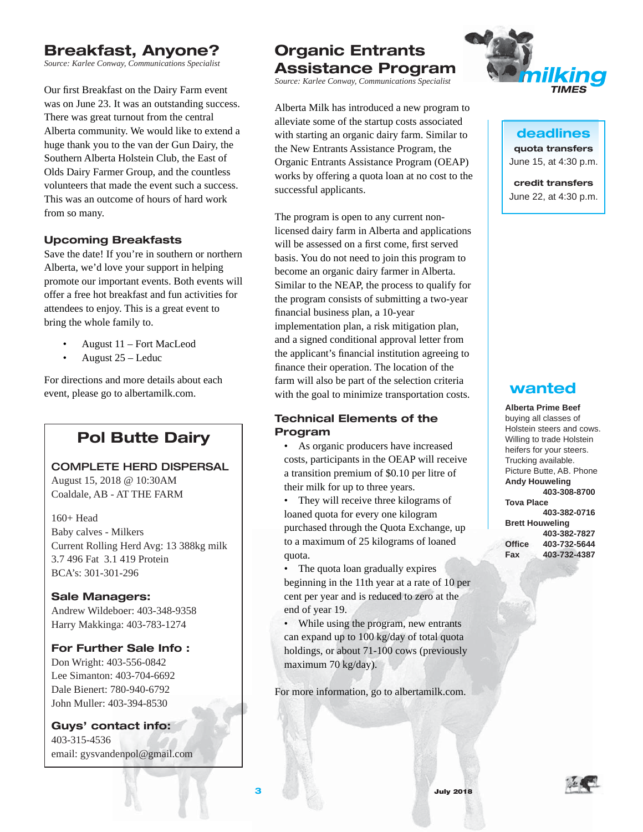# **Breakfast, Anyone?**

*Source: Karlee Conway, Communications Specialist* 

Our first Breakfast on the Dairy Farm event was on June 23. It was an outstanding success. There was great turnout from the central Alberta community. We would like to extend a huge thank you to the van der Gun Dairy, the Southern Alberta Holstein Club, the East of Olds Dairy Farmer Group, and the countless volunteers that made the event such a success. This was an outcome of hours of hard work from so many.

## **Upcoming Breakfasts**

Save the date! If you're in southern or northern Alberta, we'd love your support in helping promote our important events. Both events will offer a free hot breakfast and fun activities for attendees to enjoy. This is a great event to bring the whole family to.

- August 11 Fort MacLeod
- August 25 Leduc

For directions and more details about each event, please go to albertamilk.com.

# **Pol Butte Dairy**

COMPLETE HERD DISPERSAL

August 15, 2018 @ 10:30AM Coaldale, AB - AT THE FARM

160+ Head Baby calves - Milkers Current Rolling Herd Avg: 13 388kg milk 3.7 496 Fat 3.1 419 Protein BCA's: 301-301-296

**Sale Managers:**  Andrew Wildeboer: 403-348-9358 Harry Makkinga: 403-783-1274

#### **For Further Sale Info :**

Don Wright: 403-556-0842 Lee Simanton: 403-704-6692 Dale Bienert: 780-940-6792 John Muller: 403-394-8530

**Guys' contact info:** 403-315-4536 email: gysvandenpol@gmail.com

# **Organic Entrants Assistance Program**

*Source: Karlee Conway, Communications Specialist* 

Alberta Milk has introduced a new program to alleviate some of the startup costs associated with starting an organic dairy farm. Similar to the New Entrants Assistance Program, the Organic Entrants Assistance Program (OEAP) works by offering a quota loan at no cost to the successful applicants.

The program is open to any current nonlicensed dairy farm in Alberta and applications will be assessed on a first come, first served basis. You do not need to join this program to become an organic dairy farmer in Alberta. Similar to the NEAP, the process to qualify for the program consists of submitting a two-year financial business plan, a 10-year implementation plan, a risk mitigation plan, and a signed conditional approval letter from the applicant's financial institution agreeing to finance their operation. The location of the farm will also be part of the selection criteria with the goal to minimize transportation costs.

#### **Technical Elements of the Program**

• As organic producers have increased costs, participants in the OEAP will receive a transition premium of \$0.10 per litre of their milk for up to three years.

• They will receive three kilograms of loaned quota for every one kilogram purchased through the Quota Exchange, up to a maximum of 25 kilograms of loaned quota.

• The quota loan gradually expires beginning in the 11th year at a rate of 10 per cent per year and is reduced to zero at the end of year 19.

• While using the program, new entrants can expand up to 100 kg/day of total quota holdings, or about 71-100 cows (previously maximum 70 kg/day).

For more information, go to albertamilk.com.



**deadlines quota transfers** June 15, at 4:30 p.m.

**credit transfers** June 22, at 4:30 p.m.

# **wanted**

**Alberta Prime Beef**  buying all classes of Holstein steers and cows. Willing to trade Holstein heifers for your steers. Trucking available. Picture Butte, AB. Phone **Andy Houweling 403-308-8700 Tova Place 403-382-0716 Brett Houweling 403-382-7827 Offi ce 403-732-5644 Fax 403-732-4387**

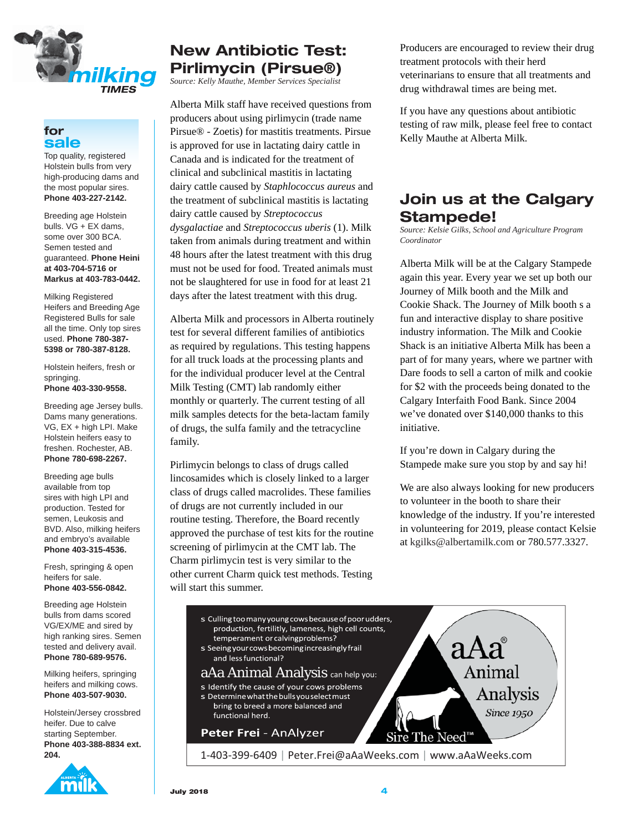

#### **for sale**

Top quality, registered Holstein bulls from very high-producing dams and the most popular sires. **Phone 403-227-2142.** 

Breeding age Holstein bulls. VG + EX dams, some over 300 BCA. Semen tested and guaranteed. **Phone Heini at 403-704-5716 or Markus at 403-783-0442.** 

Milking Registered Heifers and Breeding Age Registered Bulls for sale all the time. Only top sires used. **Phone 780-387- 5398 or 780-387-8128.** 

Holstein heifers, fresh or springing. **Phone 403-330-9558.**

Breeding age Jersey bulls. Dams many generations. VG, EX + high LPI. Make Holstein heifers easy to freshen. Rochester, AB. **Phone 780-698-2267.** 

Breeding age bulls available from top sires with high LPI and production. Tested for semen, Leukosis and BVD. Also, milking heifers and embryo's available **Phone 403-315-4536.**

Fresh, springing & open heifers for sale. **Phone 403-556-0842.** 

Breeding age Holstein bulls from dams scored VG/EX/ME and sired by high ranking sires. Semen tested and delivery avail. **Phone 780-689-9576.**

Milking heifers, springing heifers and milking cows. **Phone 403-507-9030.**

Holstein/Jersey crossbred heifer. Due to calve starting September. **Phone 403-388-8834 ext. 204.**



# **New Antibiotic Test: Pirlimycin (Pirsue®)**

*Source: Kelly Mauthe, Member Services Specialist*

Alberta Milk staff have received questions from producers about using pirlimycin (trade name Pirsue® - Zoetis) for mastitis treatments. Pirsue is approved for use in lactating dairy cattle in Canada and is indicated for the treatment of clinical and subclinical mastitis in lactating dairy cattle caused by *Staphlococcus aureus* and the treatment of subclinical mastitis is lactating dairy cattle caused by *Streptococcus dysgalactiae* and *Streptococcus uberis* (1). Milk taken from animals during treatment and within 48 hours after the latest treatment with this drug must not be used for food. Treated animals must not be slaughtered for use in food for at least 21 days after the latest treatment with this drug.

Alberta Milk and processors in Alberta routinely test for several different families of antibiotics as required by regulations. This testing happens for all truck loads at the processing plants and for the individual producer level at the Central Milk Testing (CMT) lab randomly either monthly or quarterly. The current testing of all milk samples detects for the beta-lactam family of drugs, the sulfa family and the tetracycline family.

Pirlimycin belongs to class of drugs called lincosamides which is closely linked to a larger class of drugs called macrolides. These families of drugs are not currently included in our routine testing. Therefore, the Board recently approved the purchase of test kits for the routine screening of pirlimycin at the CMT lab. The Charm pirlimycin test is very similar to the other current Charm quick test methods. Testing will start this summer.

Producers are encouraged to review their drug treatment protocols with their herd veterinarians to ensure that all treatments and drug withdrawal times are being met.

If you have any questions about antibiotic testing of raw milk, please feel free to contact Kelly Mauthe at Alberta Milk.

# **Join us at the Calgary Stampede!**

*Source: Kelsie Gilks, School and Agriculture Program Coordinator*

Alberta Milk will be at the Calgary Stampede again this year. Every year we set up both our Journey of Milk booth and the Milk and Cookie Shack. The Journey of Milk booth s a fun and interactive display to share positive industry information. The Milk and Cookie Shack is an initiative Alberta Milk has been a part of for many years, where we partner with Dare foods to sell a carton of milk and cookie for \$2 with the proceeds being donated to the Calgary Interfaith Food Bank. Since 2004 we've donated over \$140,000 thanks to this initiative.

If you're down in Calgary during the Stampede make sure you stop by and say hi!

We are also always looking for new producers to volunteer in the booth to share their knowledge of the industry. If you're interested in volunteering for 2019, please contact Kelsie at kgilks@albertamilk.com or 780.577.3327.

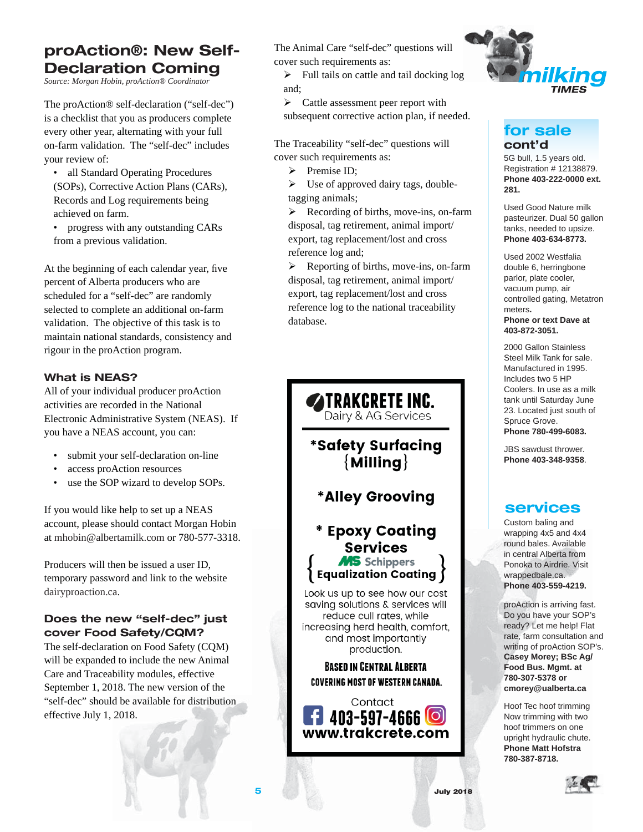# **proAction®: New Self-Declaration Coming**

*Source: Morgan Hobin, proAction® Coordinator*

The proAction® self-declaration ("self-dec") is a checklist that you as producers complete every other year, alternating with your full on-farm validation. The "self-dec" includes your review of:

- all Standard Operating Procedures (SOPs), Corrective Action Plans (CARs), Records and Log requirements being achieved on farm.
- progress with any outstanding CARs from a previous validation.

At the beginning of each calendar year, five percent of Alberta producers who are scheduled for a "self-dec" are randomly selected to complete an additional on-farm validation. The objective of this task is to maintain national standards, consistency and rigour in the proAction program.

#### **What is NEAS?**

All of your individual producer proAction activities are recorded in the National Electronic Administrative System (NEAS). If you have a NEAS account, you can:

- submit your self-declaration on-line
- access proAction resources
- use the SOP wizard to develop SOPs.

If you would like help to set up a NEAS account, please should contact Morgan Hobin at mhobin@albertamilk.com or 780-577-3318.

Producers will then be issued a user ID, temporary password and link to the website dairyproaction.ca.

## **Does the new "self-dec" just cover Food Safety/CQM?**

The self-declaration on Food Safety (CQM) will be expanded to include the new Animal Care and Traceability modules, effective September 1, 2018. The new version of the "self-dec" should be available for distribution effective July 1, 2018.

The Animal Care "self-dec" questions will cover such requirements as:

 $\blacktriangleright$  Full tails on cattle and tail docking log and;

 $\triangleright$  Cattle assessment peer report with subsequent corrective action plan, if needed.

The Traceability "self-dec" questions will cover such requirements as:

 $\triangleright$  Premise ID;

 $\triangleright$  Use of approved dairy tags, doubletagging animals;

 $\triangleright$  Recording of births, move-ins, on-farm disposal, tag retirement, animal import/ export, tag replacement/lost and cross reference log and;

 $\triangleright$  Reporting of births, move-ins, on-farm disposal, tag retirement, animal import/ export, tag replacement/lost and cross reference log to the national traceability database.





# **for sale cont'd**

5G bull, 1.5 years old. Registration # 12138879. **Phone 403-222-0000 ext. 281.** 

Used Good Nature milk pasteurizer. Dual 50 gallon tanks, needed to upsize. **Phone 403-634-8773.** 

Used 2002 Westfalia double 6, herringbone parlor, plate cooler, vacuum pump, air controlled gating, Metatron meters**. Phone or text Dave at 403-872-3051.**

2000 Gallon Stainless Steel Milk Tank for sale. Manufactured in 1995. Includes two 5 HP Coolers. In use as a milk tank until Saturday June 23. Located just south of Spruce Grove. **Phone 780-499-6083.**

JBS sawdust thrower. **Phone 403-348-9358**.

# **services**

Custom baling and wrapping 4x5 and 4x4 round bales. Available in central Alberta from Ponoka to Airdrie. Visit wrappedbale.ca. **Phone 403-559-4219.**

proAction is arriving fast. Do you have your SOP's ready? Let me help! Flat rate, farm consultation and writing of proAction SOP's. **Casey Morey; BSc Ag/ Food Bus. Mgmt. at 780-307-5378 or cmorey@ualberta.ca**

Hoof Tec hoof trimming Now trimming with two hoof trimmers on one upright hydraulic chute. **Phone Matt Hofstra 780-387-8718.**

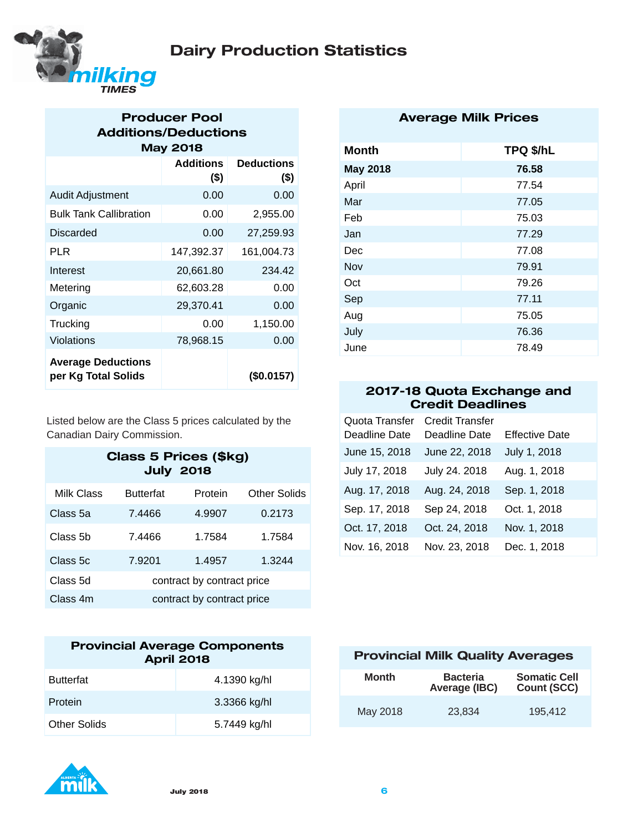



## **Producer Pool Additions/Deductions May 2018**

|                                                  | <b>Additions</b><br>$($ \$) | <b>Deductions</b><br>$($ \$) |
|--------------------------------------------------|-----------------------------|------------------------------|
| <b>Audit Adjustment</b>                          | 0.00                        | 0.00                         |
| <b>Bulk Tank Callibration</b>                    | 0.00                        | 2,955.00                     |
| <b>Discarded</b>                                 | 0.00                        | 27,259.93                    |
| PLR                                              | 147,392.37                  | 161,004.73                   |
| Interest                                         | 20,661.80                   | 234.42                       |
| Metering                                         | 62,603.28                   | 0.00                         |
| Organic                                          | 29,370.41                   | 0.00                         |
| Trucking                                         | 0.00                        | 1,150.00                     |
| Violations                                       | 78,968.15                   | 0.00                         |
| <b>Average Deductions</b><br>per Kg Total Solids |                             | (\$0.0157)                   |

Listed below are the Class 5 prices calculated by the Canadian Dairy Commission.

## **Class 5 Prices (\$kg) July 2018**

| Milk Class | <b>Butterfat</b>           | Protein | <b>Other Solids</b> |
|------------|----------------------------|---------|---------------------|
| Class 5a   | 7.4466                     | 4.9907  | 0.2173              |
| Class 5b   | 7.4466                     | 1.7584  | 1.7584              |
| Class 5c   | 7.9201                     | 1.4957  | 1.3244              |
| Class 5d   | contract by contract price |         |                     |
| Class 4m   | contract by contract price |         |                     |

| <b>Provincial Average Components</b><br><b>April 2018</b> |              |  |
|-----------------------------------------------------------|--------------|--|
| <b>Butterfat</b>                                          | 4.1390 kg/hl |  |
| Protein                                                   | 3.3366 kg/hl |  |
| <b>Other Solids</b>                                       | 5.7449 kg/hl |  |

# m

| <b>Average Milk Prices</b> |  |  |
|----------------------------|--|--|
|----------------------------|--|--|

| TPQ \$/hL |
|-----------|
| 76.58     |
| 77.54     |
| 77.05     |
| 75.03     |
| 77.29     |
| 77.08     |
| 79.91     |
| 79.26     |
| 77.11     |
| 75.05     |
| 76.36     |
| 78.49     |
|           |

## **2017-18 Quota Exchange and Credit Deadlines**

| Quota Transfer<br>Deadline Date | <b>Credit Transfer</b><br>Deadline Date | <b>Effective Date</b> |
|---------------------------------|-----------------------------------------|-----------------------|
| June 15, 2018                   | June 22, 2018                           | July 1, 2018          |
|                                 |                                         |                       |
| July 17, 2018                   | July 24. 2018                           | Aug. 1, 2018          |
| Aug. 17, 2018                   | Aug. 24, 2018                           | Sep. 1, 2018          |
| Sep. 17, 2018                   | Sep 24, 2018                            | Oct. 1, 2018          |
| Oct. 17, 2018                   | Oct. 24, 2018                           | Nov. 1, 2018          |
| Nov. 16, 2018                   | Nov. 23, 2018                           | Dec. 1, 2018          |

## **Provincial Milk Quality Averages**

| Month    | <b>Bacteria</b><br>Average (IBC) | <b>Somatic Cell</b><br><b>Count (SCC)</b> |
|----------|----------------------------------|-------------------------------------------|
| May 2018 | 23.834                           | 195.412                                   |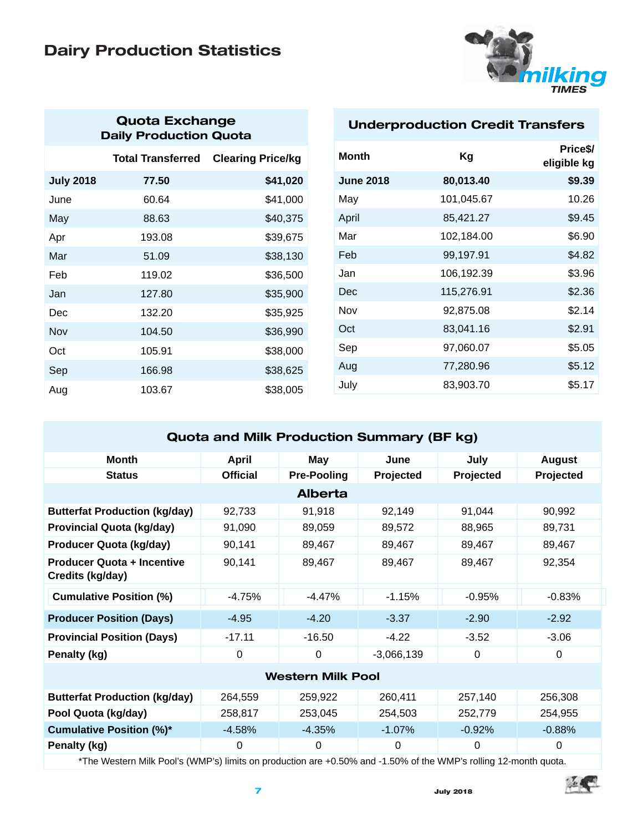# **Dairy Production Statistics**



# **Quota Exchange Daily Production Quota**

|                  | <b>Total Transferred</b> | <b>Clearing Price/kg</b> |
|------------------|--------------------------|--------------------------|
| <b>July 2018</b> | 77.50                    | \$41,020                 |
| June             | 60.64                    | \$41,000                 |
| May              | 88.63                    | \$40,375                 |
| Apr              | 193.08                   | \$39,675                 |
| Mar              | 51.09                    | \$38,130                 |
| Feb              | 119.02                   | \$36,500                 |
| Jan              | 127.80                   | \$35,900                 |
| Dec              | 132.20                   | \$35,925                 |
| Nov              | 104.50                   | \$36,990                 |
| Oct              | 105.91                   | \$38,000                 |
| Sep              | 166.98                   | \$38,625                 |
| Aug              | 103.67                   | \$38,005                 |

## **Underproduction Credit Transfers**

| Month            | Kg         | Price <sub>s</sub> /<br>eligible kg |
|------------------|------------|-------------------------------------|
| <b>June 2018</b> | 80,013.40  | \$9.39                              |
| May              | 101,045.67 | 10.26                               |
| April            | 85,421.27  | \$9.45                              |
| Mar              | 102,184.00 | \$6.90                              |
| Feb              | 99,197.91  | \$4.82                              |
| Jan              | 106,192.39 | \$3.96                              |
| Dec              | 115,276.91 | \$2.36                              |
| Nov              | 92,875.08  | \$2.14                              |
| Oct              | 83,041.16  | \$2.91                              |
| Sep              | 97,060.07  | \$5.05                              |
| Aug              | 77,280.96  | \$5.12                              |
| July             | 83,903.70  | \$5.17                              |

# **Quota and Milk Production Summary (BF kg) Month April May June July August** Status **Conducter Contract Contract Pre-Pooling Projected Projected Projected Alberta Butterfat Production (kg/day)** 92,733 91,918 92,149 91,044 90,992 **Provincial Quota (kg/day)** 91,090 89,059 89,572 88,965 89,731 **Producer Quota (kg/day)** 90,141 89,467 89,467 89,467 89,467 89,467 **Producer Quota + Incentive Credits (kg/day)** 90,141 89,467 89,467 89,467 92,354 **Cumulative Position (%)**  $-4.75\%$   $-4.47\%$   $-1.15\%$   $-0.95\%$   $-0.83\%$ **Producer Position (Days)** -4.95 -4.20 -3.37 -2.90 -2.92 **Provincial Position (Days)**  $-17.11$   $-16.50$   $-4.22$   $-3.52$   $-3.06$ **Penalty (kg)** 0 0 0 -3,066,139 0 0 0 **Western Milk Pool Butterfat Production (kg/day)** 264,559 259,922 260,411 257,140 256,308 **Pool Quota (kg/day)** 258,817 253,045 254,503 252,779 254,955 **Cumulative Position (%)\*** 4.58% -4.35% -1.07% -0.92% -0.88% **Penalty (kg)** 0000 0

\*The Western Milk Pool's (WMP's) limits on production are +0.50% and -1.50% of the WMP's rolling 12-month quota.